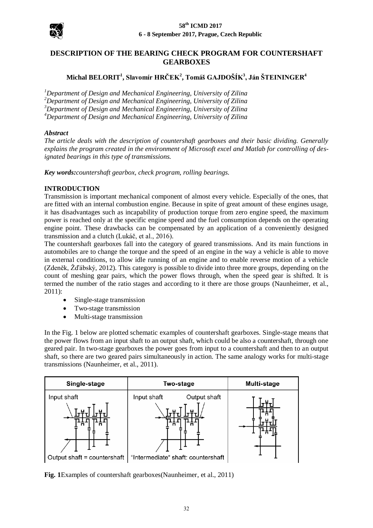

# **DESCRIPTION OF THE BEARING CHECK PROGRAM FOR COUNTERSHAFT GEARBOXES**

# **Michal BELORIT<sup>1</sup> , Slavomír HRČEK<sup>2</sup> , Tomáš GAJDOŠÍK<sup>3</sup> , Ján ŠTEININGER<sup>4</sup>**

*Department of Design and Mechanical Engineering, University of Zilina Department of Design and Mechanical Engineering, University of Zilina Department of Design and Mechanical Engineering, University of Zilina Department of Design and Mechanical Engineering, University of Zilina*

### *Abstract*

*The article deals with the description of countershaft gearboxes and their basic dividing. Generally explains the program created in the environment of Microsoft excel and Matlab for controlling of designated bearings in this type of transmissions.*

*Key words:countershaft gearbox, check program, rolling bearings.*

### **INTRODUCTION**

Transmission is important mechanical component of almost every vehicle. Especially of the ones, that are fitted with an internal combustion engine. Because in spite of great amount of these engines usage, it has disadvantages such as incapability of production torque from zero engine speed, the maximum power is reached only at the specific engine speed and the fuel consumption depends on the operating engine point. These drawbacks can be compensated by an application of a conveniently designed transmission and a clutch (Lukáč, et al., 2016).

The countershaft gearboxes fall into the category of geared transmissions. And its main functions in automobiles are to change the torque and the speed of an engine in the way a vehicle is able to move in external conditions, to allow idle running of an engine and to enable reverse motion of a vehicle (Zdeněk, Žďábský, 2012). This category is possible to divide into three more groups, depending on the count of meshing gear pairs, which the power flows through, when the speed gear is shifted. It is termed the number of the ratio stages and according to it there are those groups (Naunheimer, et al., 2011):

- Single-stage transmission
- Two-stage transmission
- Multi-stage transmission

In the Fig. 1 below are plotted schematic examples of countershaft gearboxes. Single-stage means that the power flows from an input shaft to an output shaft, which could be also a countershaft, through one geared pair. In two-stage gearboxes the power goes from input to a countershaft and then to an output shaft, so there are two geared pairs simultaneously in action. The same analogy works for multi-stage transmissions (Naunheimer, et al., 2011).



**Fig. 1**Examples of countershaft gearboxes(Naunheimer, et al., 2011)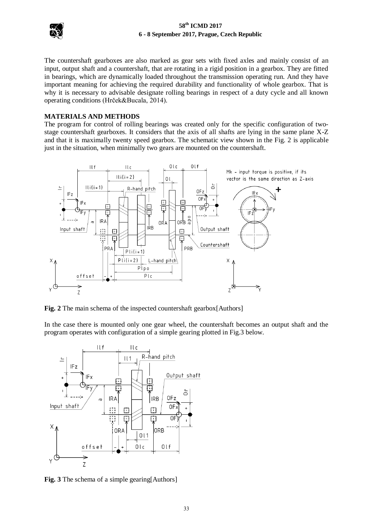

# **58th ICMD 2017 6 - 8 September 2017, Prague, Czech Republic**

The countershaft gearboxes are also marked as gear sets with fixed axles and mainly consist of an input, output shaft and a countershaft, that are rotating in a rigid position in a gearbox. They are fitted in bearings, which are dynamically loaded throughout the transmission operating run. And they have important meaning for achieving the required durability and functionality of whole gearbox. That is why it is necessary to advisable designate rolling bearings in respect of a duty cycle and all known operating conditions (Hrček&Bucala, 2014).

#### **MATERIALS AND METHODS**

The program for control of rolling bearings was created only for the specific configuration of twostage countershaft gearboxes. It considers that the axis of all shafts are lying in the same plane X-Z and that it is maximally twenty speed gearbox. The schematic view shown in the Fig. 2 is applicable just in the situation, when minimally two gears are mounted on the countershaft.



**Fig. 2** The main schema of the inspected countershaft gearbox [Authors]

In the case there is mounted only one gear wheel, the countershaft becomes an output shaft and the program operates with configuration of a simple gearing plotted in Fig.3 below.



**Fig. 3** The schema of a simple gearing[Authors]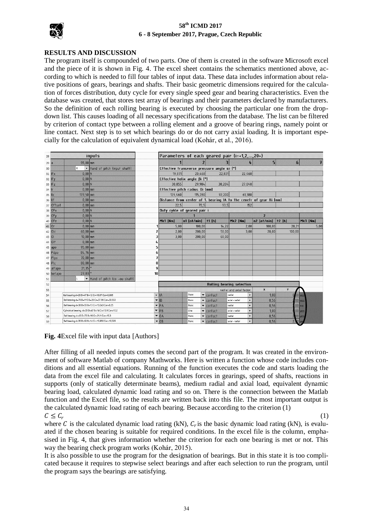

# **58th ICMD 2017 6 - 8 September 2017, Prague, Czech Republic**

# **RESULTS AND DISCUSSION**

The program itself is compounded of two parts. One of them is created in the software Microsoft excel and the piece of it is shown in Fig. 4. The excel sheet contains the schematics mentioned above, according to which is needed to fill four tables of input data. These data includes information about relative positions of gears, bearings and shafts. Their basic geometric dimensions required for the calculation of forces distribution, duty cycle for every single speed gear and bearing characteristics. Even the database was created, that stores test array of bearings and their parameters declared by manufacturers. So the definition of each rolling bearing is executed by choosing the particular one from the dropdown list. This causes loading of all necessary specifications from the database. The list can be filtered by criterion of contact type between a rolling element and a groove of bearing rings, namely point or line contact. Next step is to set which bearings do or do not carry axial loading. It is important especially for the calculation of equivalent dynamical load (Kohár, et al., 2016).

| 28      | <i>inputs</i> |                                                     |                              |                | Parameters of each geared pair (i=<1,2,,20>)                         |                              |                               |                                            |                |                       |               |  |
|---------|---------------|-----------------------------------------------------|------------------------------|----------------|----------------------------------------------------------------------|------------------------------|-------------------------------|--------------------------------------------|----------------|-----------------------|---------------|--|
| $29$ a  |               | $95,00$ mm                                          |                              |                |                                                                      |                              |                               | L                                          | $\overline{5}$ | $6 \overline{6}$      | $\mathcal{H}$ |  |
| 30      |               | R                                                   | Hand of pitch (input shaft)  |                | Effective transverse pressure angle $\alpha$ i [°]                   |                              |                               |                                            |                |                       |               |  |
| 31 IFx  |               | 0.00N                                               |                              |                | 19.871                                                               | 20,468                       | 22.831                        | 22,460                                     |                |                       |               |  |
| 32 IFy  |               | 0,00 N                                              |                              |                |                                                                      | Effective helix angle Bi [°] |                               |                                            |                |                       |               |  |
| 33 IFz  |               | 0,00N                                               |                              |                | 30,855                                                               | 29,984                       | 30,204                        | 27,040                                     |                |                       |               |  |
| 34 In   |               |                                                     | $0.00$ mm                    |                | Effective pitch radius Di [mm]                                       |                              |                               |                                            |                |                       |               |  |
| 35 IIc  |               | $177,50$ mm                                         |                              |                | 129,460                                                              | 115,280                      | 92,200                        | 61,380                                     |                |                       |               |  |
| 36 IIf  |               | $0.00$ mm                                           |                              |                | Distance from center of 1. bearing IA to the cenetr of gear Ili [mm] |                              |                               |                                            |                |                       |               |  |
|         | 37 Offset     |                                                     | $0.00$ mm                    |                | 22.5                                                                 | 72.5                         | 93,5                          | 152                                        |                |                       |               |  |
| 38 OFx  |               | 0.00N                                               |                              |                | Duty cykle of geared pair i                                          |                              |                               |                                            |                |                       |               |  |
| 39 OFy  |               | 0.00N                                               |                              |                | $\overline{2}$                                                       |                              |                               |                                            |                |                       |               |  |
| 40 OFz  |               | 0.00N                                               |                              |                | Mk1 [Nm]                                                             | n1 [ot/min]                  | $t1$ [h]                      | Mk2 [Nm]                                   | n2 [ot/min]    | $t2$ [h]              | Mk3 [Nm]      |  |
| $41$ Or |               |                                                     | $0,00$ mm                    |                | 5,00                                                                 | 100.00                       | 14.22                         | 2,00                                       | 100.00         | 20,21                 | 5,00          |  |
| 42 Olc  |               | $60,00$ mm                                          |                              | $\overline{2}$ | 2,00                                                                 | 200,00                       | 50,00                         | 3,00                                       | 20,00          | 100,00                |               |  |
| 43 Ol   |               | $10.00$ mm                                          |                              | 3              | 3.00                                                                 | 200.00                       | 60,00                         |                                            |                |                       |               |  |
| 44 OLf  |               | $0.00$ mm                                           |                              | 4              |                                                                      |                              |                               |                                            |                |                       |               |  |
| 45 apo  |               | $95,00$ mm                                          |                              | 5              |                                                                      |                              |                               |                                            |                |                       |               |  |
| 46 Pdpo |               | $84,76$ mm                                          |                              | 6              |                                                                      |                              |                               |                                            |                |                       |               |  |
| 47 Plpo |               | $70,00$ mm                                          |                              | 7              |                                                                      |                              |                               |                                            |                |                       |               |  |
| 48 Plc  |               | $80,00$ mm                                          |                              | 8              |                                                                      |                              |                               |                                            |                |                       |               |  |
|         | 49 alfapo     | 21,35                                               |                              | 9              |                                                                      |                              |                               |                                            |                |                       |               |  |
|         | 50 betapo     | $27,83$ $^{\circ}$                                  |                              | 10             |                                                                      |                              |                               |                                            |                |                       |               |  |
| 51      |               |                                                     | Hand of pitch (co -ou shaft) |                |                                                                      |                              |                               |                                            |                |                       |               |  |
| 52      |               |                                                     |                              |                | <b>Rolling bearing selection</b>                                     |                              |                               |                                            |                |                       |               |  |
| 53      |               |                                                     |                              |                | $\mathbf{x}$<br>Y<br>radial and axial factor:                        |                              |                               |                                            |                |                       |               |  |
| 54      |               | Ball bearing d=25 D=47 B=12 Cr=10,07 Cor=5,806      |                              | $-$ IA         |                                                                      | Point                        | $\blacktriangledown$ contact  | radial                                     | 1.00           | $0,00$ <sub>yes</sub> |               |  |
| 55      |               | Ball bearing d=70 D=110 B=20 Cr=37,96 Cor=30,959    |                              |                | $\overline{\phantom{a}}$ IB                                          | Point                        | $\blacktriangleright$ contact | axial - radial<br>$\overline{\phantom{a}}$ | 0,56           |                       | 00 yes        |  |
| 56      |               | Ball bearing d=30 D=55 B=13 Cr=13,243 Cor=8,25      |                              |                | $\neg$ PA                                                            | Point                        | $\blacktriangleright$ contact | radial                                     | 0,56           |                       | .00 no        |  |
| 57      |               | Cylindrical bearing d=20 D=47 B=14 Cr=13,9 Cor=10,2 |                              |                | $\nightharpoondown$ PB                                               | Line                         | $\blacktriangledown$ contact  | axial - radial                             | 1,00           |                       | $00$ yes      |  |
| 58      |               | Ball bearing d=45 D=75 B=16 Cr=21,1 Cor=15,3        |                              |                | $\blacktriangledown$ 0A                                              | Point                        | $\blacktriangleright$ contact | radial                                     | 0,56           |                       | $00$ yes      |  |
| 59      |               | Ball bearing d=35 D=62 B=14 Cr=15,956 Cor=10,328    |                              |                | $-$ 0B                                                               | Point                        | $\blacktriangleright$ contact | axial - radial                             | 0,56           | 2.1                   | <b>O</b> ve   |  |

**Fig. 4**Excel file with input data [Authors]

After filling of all needed inputs comes the second part of the program. It was created in the environment of software Matlab of company Mathworks. Here is written a function whose code includes conditions and all essential equations. Running of the function executes the code and starts loading the data from the excel file and calculating. It calculates forces in gearings, speed of shafts, reactions in supports (only of statically determinate beams), medium radial and axial load, equivalent dynamic bearing load, calculated dynamic load rating and so on. There is the connection between the Matlab function and the Excel file, so the results are written back into this file. The most important output is the calculated dynamic load rating of each bearing. Because according to the criterion (1)  $C \leq C_r$ 

(1)

where C is the calculated dynamic load rating (kN),  $C_r$  is the basic dynamic load rating (kN), is evaluated if the chosen bearing is suitable for required conditions. In the excel file is the column, emphasised in Fig. 4, that gives information whether the criterion for each one bearing is met or not. This way the bearing check program works (Kohár, 2015).

It is also possible to use the program for the designation of bearings. But in this state it is too complicated because it requires to stepwise select bearings and after each selection to run the program, until the program says the bearings are satisfying.